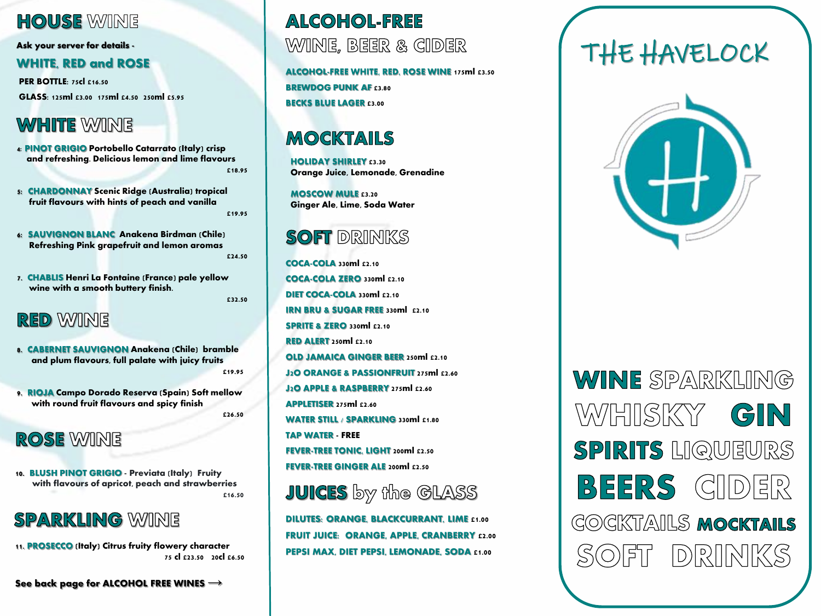#### **HOUSE WINE**

**Ask your server for details -**

#### **WHITE, RED and ROSE**

**PER BOTTLE:** 75cl £16.50

**GLASS:** 125ml £3.00 175ml £4.50 250ml £5.95

# **WHITE WINE**

- **4**: **PINOT GRIGIO Portobello Catarrato** (Italy) crisp and refreshing. Delicious lemon and lime flavours £18.95
- **5: CHARDONNAY Scenic Ridge** (Australia) tropical fruit flavours with hints of peach and vanilla £19.95
- **6: SAUVIGNON BLANC Anakena Birdman** (Chile) Refreshing Pink grapefruit and lemon aromas
	- £24.50
- **7. CHABLIS Henri La Fontaine** (France) pale yellow wine with a smooth buttery finish.

#### £32.50

#### **RED WINE**

- **8. CABERNET SAUVIGNON Anakena** (Chile) bramble and plum flavours, full palate with juicy fruits £19.95
- **9. RIOJA Campo Dorado Reserva** (Spain) Soft mellow with round fruit flavours and spicy finish £26.50

#### **ROSE WINE**

**10. BLUSH PINOT GRIGIO - Previata** (Italy) Fruity with flavours of apricot, peach and strawberries £16.50

## **SPARKLING WINE**

**11. PROSECCO** (Italy) Citrus fruity flowery character 75 cl £23.50 20cl £6.50

**See back page for ALCOHOL FREE WINES →**

## **ALCOHOL-FREE** WINE, BEER & GIDER

**ALCOHOL-FREE WHITE, RED, ROSE WINE** 175ml £3.50 **BREWDOG PUNK AF £3.80 BECKS BLUE LAGER** £3.00

# MOCKTAILS

**HOLIDAY SHIRLEY** £3.30 Orange Juice, Lemonade, Grenadine

**MOSCOW MULE** £3.20 Ginger Ale, Lime, Soda Water

#### **SOFT DRINKS**

**COCA-COLA** 330ml £2.10 **COCA-COLA ZERO** 330ml £2.10 **DIET COCA-COLA** 330ml £2.10 **IRN BRU & SUGAR FREE 330ml £2.10 SPRITE & ZERO 330ml £2.10 RED ALERT** 250ml £2.10 **OLD JAMAICA GINGER BEER 250ml £2.10 J2O** ORANGE & PASSIONFRUIT 275ml £2.60 **J2O** APPLE & RASPBERRY 275ml £2.60 **APPLETISER** 275ml £2.60 **WATER STILL / SPARKLING** 330ml £1.80 **TAP WATER** - FREE **FEVER-TREE TONIC, LIGHT 200ml £2.50 FEVER-TREE GINGER ALE 200ml £2.50** 



**DILUTES:** ORANGE, BLACKCURRANT, LIME £1.00 **FRUIT JUICE:** ORANGE, APPLE, CRANBERRY £2.00 PEPSI MAX, DIET PEPSI, LEMONADE, SODA £1.00

# THE HAVELOCK